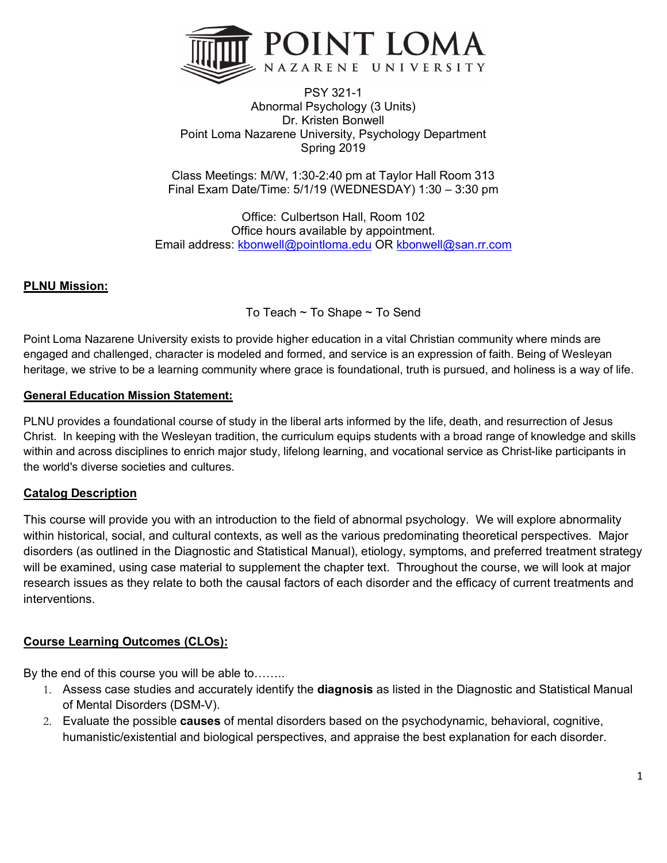

PSY 321-1 Abnormal Psychology (3 Units) Dr. Kristen Bonwell Point Loma Nazarene University, Psychology Department Spring 2019

Class Meetings: M/W, 1:30-2:40 pm at Taylor Hall Room 313 Final Exam Date/Time: 5/1/19 (WEDNESDAY) 1:30 – 3:30 pm

Office: Culbertson Hall, Room 102 Office hours available by appointment. Email address: kbonwell@pointloma.edu OR kbonwell@san.rr.com

#### **PLNU Mission:**

To Teach ~ To Shape ~ To Send

Point Loma Nazarene University exists to provide higher education in a vital Christian community where minds are engaged and challenged, character is modeled and formed, and service is an expression of faith. Being of Wesleyan heritage, we strive to be a learning community where grace is foundational, truth is pursued, and holiness is a way of life.

#### **General Education Mission Statement:**

PLNU provides a foundational course of study in the liberal arts informed by the life, death, and resurrection of Jesus Christ. In keeping with the Wesleyan tradition, the curriculum equips students with a broad range of knowledge and skills within and across disciplines to enrich major study, lifelong learning, and vocational service as Christ-like participants in the world's diverse societies and cultures.

#### **Catalog Description**

This course will provide you with an introduction to the field of abnormal psychology. We will explore abnormality within historical, social, and cultural contexts, as well as the various predominating theoretical perspectives. Major disorders (as outlined in the Diagnostic and Statistical Manual), etiology, symptoms, and preferred treatment strategy will be examined, using case material to supplement the chapter text. Throughout the course, we will look at major research issues as they relate to both the causal factors of each disorder and the efficacy of current treatments and interventions.

#### **Course Learning Outcomes (CLOs):**

By the end of this course you will be able to……..

- 1. Assess case studies and accurately identify the **diagnosis** as listed in the Diagnostic and Statistical Manual of Mental Disorders (DSM-V).
- 2. Evaluate the possible **causes** of mental disorders based on the psychodynamic, behavioral, cognitive, humanistic/existential and biological perspectives, and appraise the best explanation for each disorder.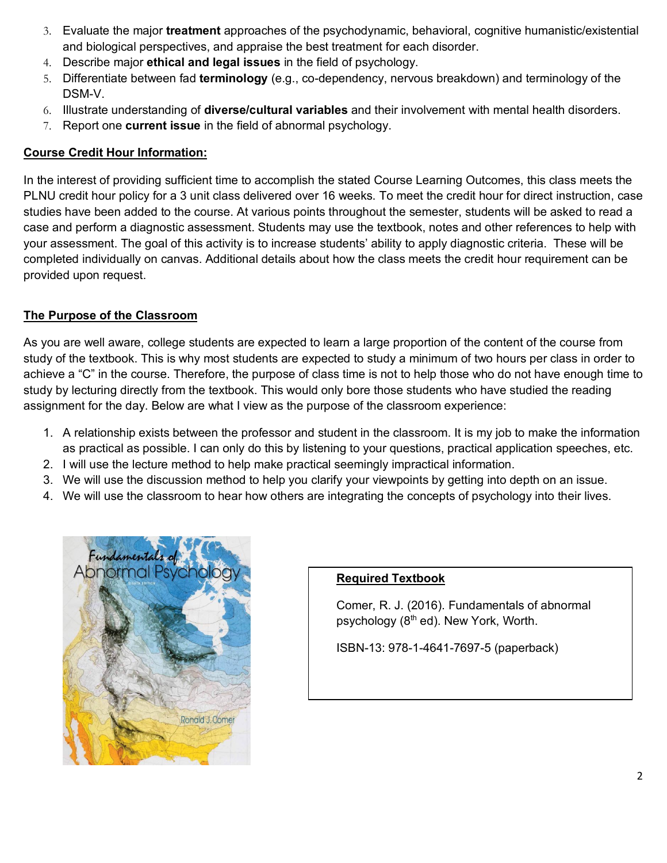- 3. Evaluate the major **treatment** approaches of the psychodynamic, behavioral, cognitive humanistic/existential and biological perspectives, and appraise the best treatment for each disorder.
- 4. Describe major **ethical and legal issues** in the field of psychology.
- 5. Differentiate between fad **terminology** (e.g., co-dependency, nervous breakdown) and terminology of the DSM-V.
- 6. Illustrate understanding of **diverse/cultural variables** and their involvement with mental health disorders.
- 7. Report one **current issue** in the field of abnormal psychology.

# **Course Credit Hour Information:**

In the interest of providing sufficient time to accomplish the stated Course Learning Outcomes, this class meets the PLNU credit hour policy for a 3 unit class delivered over 16 weeks. To meet the credit hour for direct instruction, case studies have been added to the course. At various points throughout the semester, students will be asked to read a case and perform a diagnostic assessment. Students may use the textbook, notes and other references to help with your assessment. The goal of this activity is to increase students' ability to apply diagnostic criteria. These will be completed individually on canvas. Additional details about how the class meets the credit hour requirement can be provided upon request.

# **The Purpose of the Classroom**

As you are well aware, college students are expected to learn a large proportion of the content of the course from study of the textbook. This is why most students are expected to study a minimum of two hours per class in order to achieve a "C" in the course. Therefore, the purpose of class time is not to help those who do not have enough time to study by lecturing directly from the textbook. This would only bore those students who have studied the reading assignment for the day. Below are what I view as the purpose of the classroom experience:

- 1. A relationship exists between the professor and student in the classroom. It is my job to make the information as practical as possible. I can only do this by listening to your questions, practical application speeches, etc.
- 2. I will use the lecture method to help make practical seemingly impractical information.
- 3. We will use the discussion method to help you clarify your viewpoints by getting into depth on an issue.
- 4. We will use the classroom to hear how others are integrating the concepts of psychology into their lives.



# **Required Textbook**

Comer, R. J. (2016). Fundamentals of abnormal psychology (8<sup>th</sup> ed). New York, Worth.

ISBN-13: 978-1-4641-7697-5 (paperback)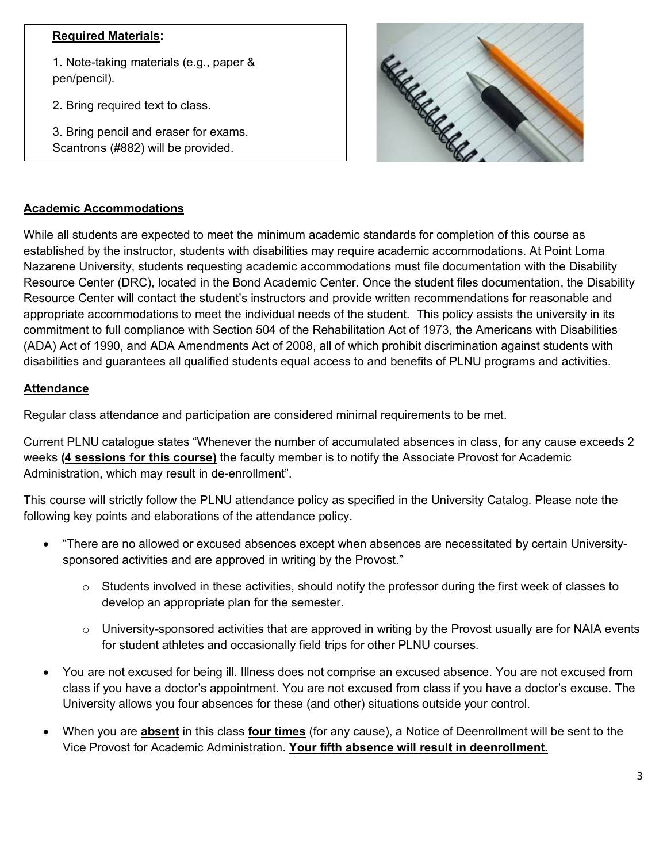### **Required Materials:**

1. Note-taking materials (e.g., paper & pen/pencil).

2. Bring required text to class.

3. Bring pencil and eraser for exams. Scantrons (#882) will be provided.



# **Academic Accommodations**

While all students are expected to meet the minimum academic standards for completion of this course as established by the instructor, students with disabilities may require academic accommodations. At Point Loma Nazarene University, students requesting academic accommodations must file documentation with the Disability Resource Center (DRC), located in the Bond Academic Center. Once the student files documentation, the Disability Resource Center will contact the student's instructors and provide written recommendations for reasonable and appropriate accommodations to meet the individual needs of the student. This policy assists the university in its commitment to full compliance with Section 504 of the Rehabilitation Act of 1973, the Americans with Disabilities (ADA) Act of 1990, and ADA Amendments Act of 2008, all of which prohibit discrimination against students with disabilities and guarantees all qualified students equal access to and benefits of PLNU programs and activities.

# **Attendance**

 $\overline{\mathsf{I}}$ 

Regular class attendance and participation are considered minimal requirements to be met.

Current PLNU catalogue states "Whenever the number of accumulated absences in class, for any cause exceeds 2 weeks **(4 sessions for this course)** the faculty member is to notify the Associate Provost for Academic Administration, which may result in de-enrollment".

This course will strictly follow the PLNU attendance policy as specified in the University Catalog. Please note the following key points and elaborations of the attendance policy.

- "There are no allowed or excused absences except when absences are necessitated by certain Universitysponsored activities and are approved in writing by the Provost."
	- o Students involved in these activities, should notify the professor during the first week of classes to develop an appropriate plan for the semester.
	- o University-sponsored activities that are approved in writing by the Provost usually are for NAIA events for student athletes and occasionally field trips for other PLNU courses.
- You are not excused for being ill. Illness does not comprise an excused absence. You are not excused from class if you have a doctor's appointment. You are not excused from class if you have a doctor's excuse. The University allows you four absences for these (and other) situations outside your control.
- When you are **absent** in this class **four times** (for any cause), a Notice of Deenrollment will be sent to the Vice Provost for Academic Administration. **Your fifth absence will result in deenrollment.**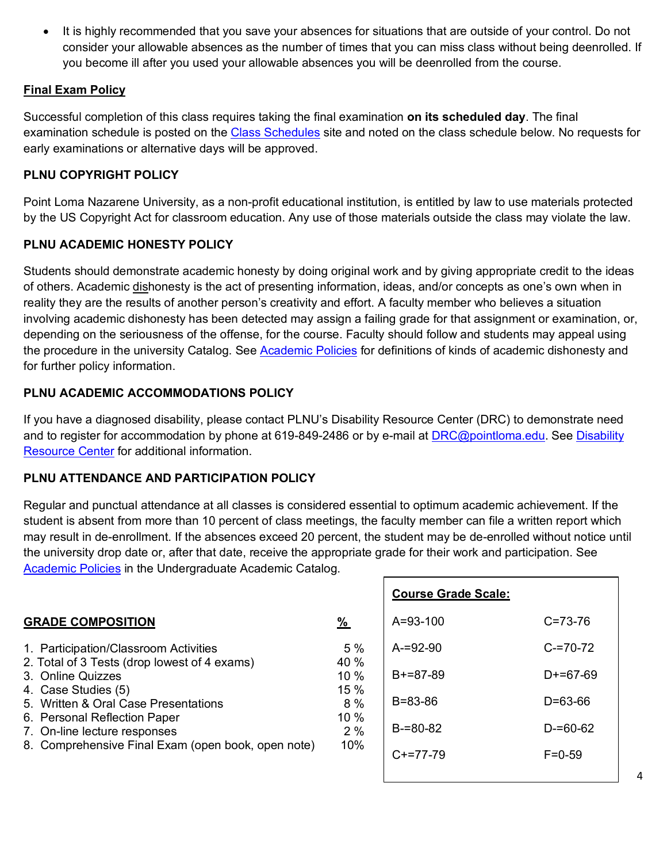• It is highly recommended that you save your absences for situations that are outside of your control. Do not consider your allowable absences as the number of times that you can miss class without being deenrolled. If you become ill after you used your allowable absences you will be deenrolled from the course.

### **Final Exam Policy**

Successful completion of this class requires taking the final examination **on its scheduled day**. The final examination schedule is posted on the Class Schedules site and noted on the class schedule below. No requests for early examinations or alternative days will be approved.

### **PLNU COPYRIGHT POLICY**

Point Loma Nazarene University, as a non-profit educational institution, is entitled by law to use materials protected by the US Copyright Act for classroom education. Any use of those materials outside the class may violate the law.

### **PLNU ACADEMIC HONESTY POLICY**

Students should demonstrate academic honesty by doing original work and by giving appropriate credit to the ideas of others. Academic dishonesty is the act of presenting information, ideas, and/or concepts as one's own when in reality they are the results of another person's creativity and effort. A faculty member who believes a situation involving academic dishonesty has been detected may assign a failing grade for that assignment or examination, or, depending on the seriousness of the offense, for the course. Faculty should follow and students may appeal using the procedure in the university Catalog. See Academic Policies for definitions of kinds of academic dishonesty and for further policy information.

# **PLNU ACADEMIC ACCOMMODATIONS POLICY**

If you have a diagnosed disability, please contact PLNU's Disability Resource Center (DRC) to demonstrate need and to register for accommodation by phone at 619-849-2486 or by e-mail at DRC@pointloma.edu. See Disability Resource Center for additional information.

#### **PLNU ATTENDANCE AND PARTICIPATION POLICY**

Regular and punctual attendance at all classes is considered essential to optimum academic achievement. If the student is absent from more than 10 percent of class meetings, the faculty member can file a written report which may result in de-enrollment. If the absences exceed 20 percent, the student may be de-enrolled without notice until the university drop date or, after that date, receive the appropriate grade for their work and participation. See Academic Policies in the Undergraduate Academic Catalog.

|                                                                   |            | <b>Course Grade Scale:</b> |               |
|-------------------------------------------------------------------|------------|----------------------------|---------------|
| <b>GRADE COMPOSITION</b>                                          | <u>%</u>   | $A = 93 - 100$             | $C = 73 - 76$ |
| 1. Participation/Classroom Activities                             | 5%<br>40 % | $A = 92 - 90$              | $C = 70 - 72$ |
| 2. Total of 3 Tests (drop lowest of 4 exams)<br>3. Online Quizzes | 10%        | $B+=87-89$                 | $D+ = 67-69$  |
| 4. Case Studies (5)<br>5. Written & Oral Case Presentations       | 15 %<br>8% | B=83-86                    | $D = 63 - 66$ |
| 6. Personal Reflection Paper<br>7. On-line lecture responses      | 10 %<br>2% | $B = 80 - 82$              | $D = 60 - 62$ |
| 8. Comprehensive Final Exam (open book, open note)                | 10%        | $C+=77-79$                 | $F = 0.59$    |
|                                                                   |            |                            |               |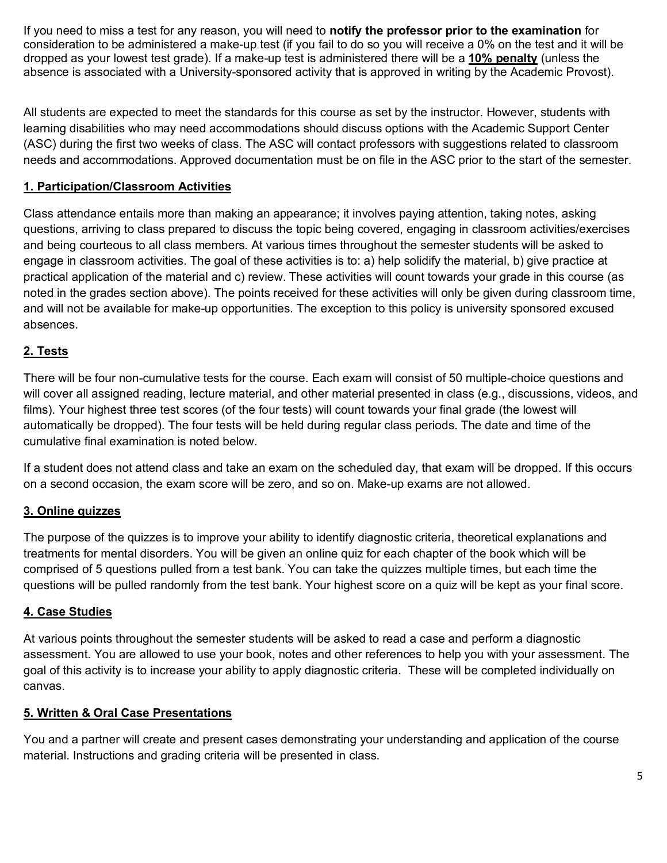If you need to miss a test for any reason, you will need to **notify the professor prior to the examination** for consideration to be administered a make-up test (if you fail to do so you will receive a 0% on the test and it will be dropped as your lowest test grade). If a make-up test is administered there will be a **10% penalty** (unless the absence is associated with a University-sponsored activity that is approved in writing by the Academic Provost).

All students are expected to meet the standards for this course as set by the instructor. However, students with learning disabilities who may need accommodations should discuss options with the Academic Support Center (ASC) during the first two weeks of class. The ASC will contact professors with suggestions related to classroom needs and accommodations. Approved documentation must be on file in the ASC prior to the start of the semester.

# **1. Participation/Classroom Activities**

Class attendance entails more than making an appearance; it involves paying attention, taking notes, asking questions, arriving to class prepared to discuss the topic being covered, engaging in classroom activities/exercises and being courteous to all class members. At various times throughout the semester students will be asked to engage in classroom activities. The goal of these activities is to: a) help solidify the material, b) give practice at practical application of the material and c) review. These activities will count towards your grade in this course (as noted in the grades section above). The points received for these activities will only be given during classroom time, and will not be available for make-up opportunities. The exception to this policy is university sponsored excused absences.

# **2. Tests**

There will be four non-cumulative tests for the course. Each exam will consist of 50 multiple-choice questions and will cover all assigned reading, lecture material, and other material presented in class (e.g., discussions, videos, and films). Your highest three test scores (of the four tests) will count towards your final grade (the lowest will automatically be dropped). The four tests will be held during regular class periods. The date and time of the cumulative final examination is noted below.

If a student does not attend class and take an exam on the scheduled day, that exam will be dropped. If this occurs on a second occasion, the exam score will be zero, and so on. Make-up exams are not allowed.

#### **3. Online quizzes**

The purpose of the quizzes is to improve your ability to identify diagnostic criteria, theoretical explanations and treatments for mental disorders. You will be given an online quiz for each chapter of the book which will be comprised of 5 questions pulled from a test bank. You can take the quizzes multiple times, but each time the questions will be pulled randomly from the test bank. Your highest score on a quiz will be kept as your final score.

#### **4. Case Studies**

At various points throughout the semester students will be asked to read a case and perform a diagnostic assessment. You are allowed to use your book, notes and other references to help you with your assessment. The goal of this activity is to increase your ability to apply diagnostic criteria. These will be completed individually on canvas.

#### **5. Written & Oral Case Presentations**

You and a partner will create and present cases demonstrating your understanding and application of the course material. Instructions and grading criteria will be presented in class.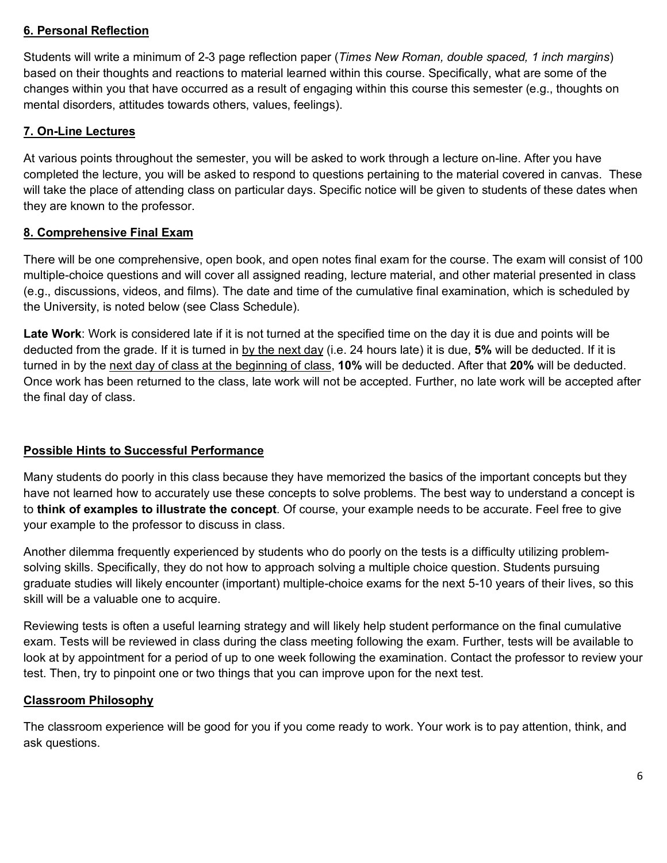# **6. Personal Reflection**

Students will write a minimum of 2-3 page reflection paper (*Times New Roman, double spaced, 1 inch margins*) based on their thoughts and reactions to material learned within this course. Specifically, what are some of the changes within you that have occurred as a result of engaging within this course this semester (e.g., thoughts on mental disorders, attitudes towards others, values, feelings).

# **7. On-Line Lectures**

At various points throughout the semester, you will be asked to work through a lecture on-line. After you have completed the lecture, you will be asked to respond to questions pertaining to the material covered in canvas. These will take the place of attending class on particular days. Specific notice will be given to students of these dates when they are known to the professor.

# **8. Comprehensive Final Exam**

There will be one comprehensive, open book, and open notes final exam for the course. The exam will consist of 100 multiple-choice questions and will cover all assigned reading, lecture material, and other material presented in class (e.g., discussions, videos, and films). The date and time of the cumulative final examination, which is scheduled by the University, is noted below (see Class Schedule).

**Late Work**: Work is considered late if it is not turned at the specified time on the day it is due and points will be deducted from the grade. If it is turned in by the next day (i.e. 24 hours late) it is due, **5%** will be deducted. If it is turned in by the next day of class at the beginning of class, **10%** will be deducted. After that **20%** will be deducted. Once work has been returned to the class, late work will not be accepted. Further, no late work will be accepted after the final day of class.

# **Possible Hints to Successful Performance**

Many students do poorly in this class because they have memorized the basics of the important concepts but they have not learned how to accurately use these concepts to solve problems. The best way to understand a concept is to **think of examples to illustrate the concept**. Of course, your example needs to be accurate. Feel free to give your example to the professor to discuss in class.

Another dilemma frequently experienced by students who do poorly on the tests is a difficulty utilizing problemsolving skills. Specifically, they do not how to approach solving a multiple choice question. Students pursuing graduate studies will likely encounter (important) multiple-choice exams for the next 5-10 years of their lives, so this skill will be a valuable one to acquire.

Reviewing tests is often a useful learning strategy and will likely help student performance on the final cumulative exam. Tests will be reviewed in class during the class meeting following the exam. Further, tests will be available to look at by appointment for a period of up to one week following the examination. Contact the professor to review your test. Then, try to pinpoint one or two things that you can improve upon for the next test.

# **Classroom Philosophy**

The classroom experience will be good for you if you come ready to work. Your work is to pay attention, think, and ask questions.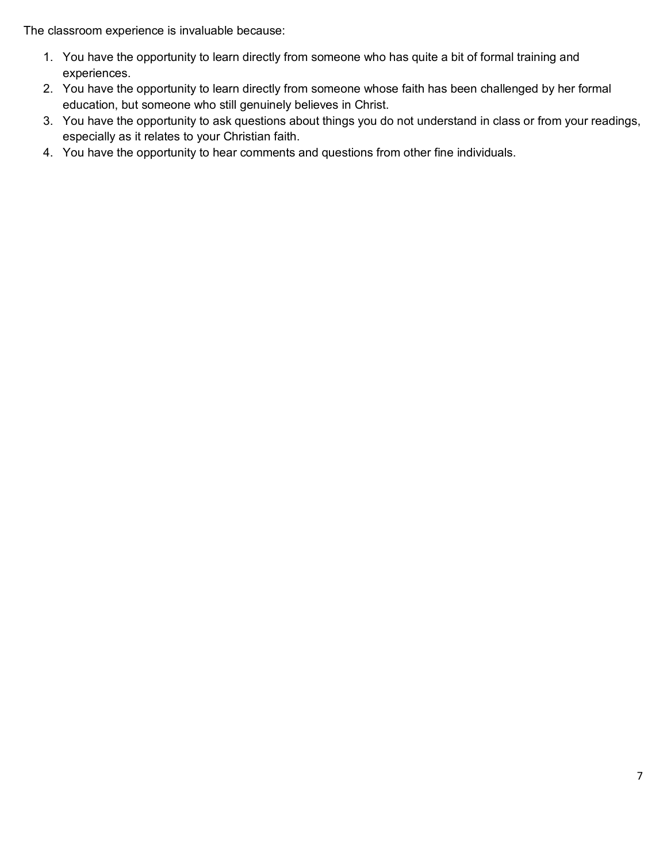The classroom experience is invaluable because:

- 1. You have the opportunity to learn directly from someone who has quite a bit of formal training and experiences.
- 2. You have the opportunity to learn directly from someone whose faith has been challenged by her formal education, but someone who still genuinely believes in Christ.
- 3. You have the opportunity to ask questions about things you do not understand in class or from your readings, especially as it relates to your Christian faith.
- 4. You have the opportunity to hear comments and questions from other fine individuals.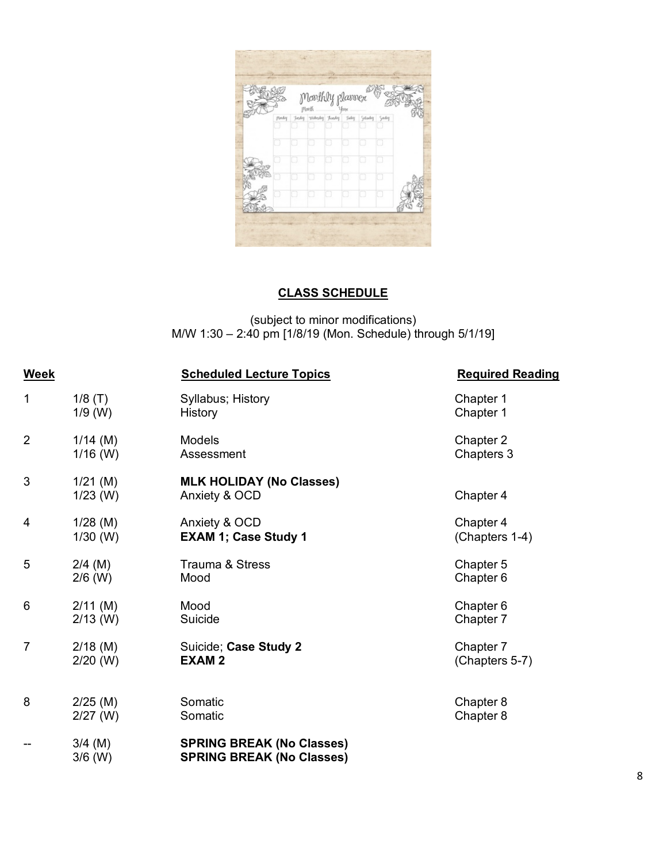|                | Monthly plasmer |  |                                        |    |  |
|----------------|-----------------|--|----------------------------------------|----|--|
| <b>Plandey</b> |                 |  | Jashy Woholey Junky Juley Schedy Small |    |  |
|                |                 |  |                                        | T. |  |
|                |                 |  |                                        |    |  |
|                |                 |  |                                        |    |  |
|                |                 |  |                                        |    |  |

# **CLASS SCHEDULE**

(subject to minor modifications) M/W 1:30 – 2:40 pm [1/8/19 (Mon. Schedule) through 5/1/19]

| <b>Week</b>    |                          | <b>Scheduled Lecture Topics</b>                                      | <b>Required Reading</b> |
|----------------|--------------------------|----------------------------------------------------------------------|-------------------------|
| 1              | $1/8$ (T)                | Syllabus; History                                                    | Chapter 1               |
|                | $1/9$ (W)                | History                                                              | Chapter 1               |
| $\overline{2}$ | $1/14$ (M)               | <b>Models</b>                                                        | Chapter 2               |
|                | $1/16$ (W)               | Assessment                                                           | Chapters 3              |
| 3              | $1/21$ (M)<br>$1/23$ (W) | <b>MLK HOLIDAY (No Classes)</b><br>Anxiety & OCD                     | Chapter 4               |
| 4              | $1/28$ (M)               | Anxiety & OCD                                                        | Chapter 4               |
|                | $1/30$ (W)               | <b>EXAM 1; Case Study 1</b>                                          | (Chapters 1-4)          |
| 5              | $2/4$ (M)                | <b>Trauma &amp; Stress</b>                                           | Chapter 5               |
|                | $2/6$ (W)                | Mood                                                                 | Chapter 6               |
| 6              | $2/11$ (M)               | Mood                                                                 | Chapter 6               |
|                | $2/13$ (W)               | Suicide                                                              | Chapter 7               |
| $\overline{7}$ | $2/18$ (M)               | Suicide; Case Study 2                                                | Chapter 7               |
|                | $2/20$ (W)               | <b>EXAM2</b>                                                         | (Chapters 5-7)          |
| 8              | $2/25$ (M)               | Somatic                                                              | Chapter 8               |
|                | $2/27$ (W)               | Somatic                                                              | Chapter 8               |
| --             | $3/4$ (M)<br>$3/6$ (W)   | <b>SPRING BREAK (No Classes)</b><br><b>SPRING BREAK (No Classes)</b> |                         |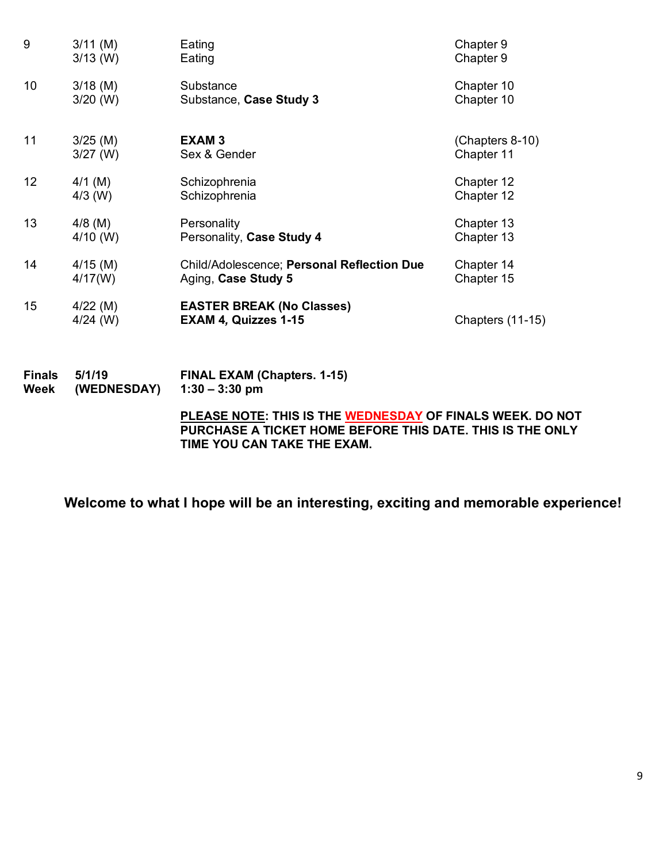| <b>Finals</b> | 5/1/19                   | <b>FINAL EXAM (Chapters. 1-15)</b>                       |                         |
|---------------|--------------------------|----------------------------------------------------------|-------------------------|
| Week          | (WEDNESDAY)              | $1:30 - 3:30$ pm                                         |                         |
| 15            | $4/22$ (M)<br>$4/24$ (W) | <b>EASTER BREAK (No Classes)</b><br>EXAM 4, Quizzes 1-15 | <b>Chapters (11-15)</b> |
| 14            | $4/15$ (M)               | Child/Adolescence; Personal Reflection Due               | Chapter 14              |
|               | 4/17(W)                  | Aging, Case Study 5                                      | Chapter 15              |
| 13            | $4/8$ (M)                | Personality                                              | Chapter 13              |
|               | $4/10$ (W)               | Personality, Case Study 4                                | Chapter 13              |
| 12            | $4/1$ (M)                | Schizophrenia                                            | Chapter 12              |
|               | $4/3$ (W)                | Schizophrenia                                            | Chapter 12              |
| 11            | $3/25$ (M)               | <b>EXAM3</b>                                             | (Chapters 8-10)         |
|               | $3/27$ (W)               | Sex & Gender                                             | Chapter 11              |
| 10            | $3/18$ (M)               | Substance                                                | Chapter 10              |
|               | $3/20$ (W)               | Substance, Case Study 3                                  | Chapter 10              |
| 9             | $3/11$ (M)               | Eating                                                   | Chapter 9               |
|               | $3/13$ (W)               | Eating                                                   | Chapter 9               |

**PLEASE NOTE: THIS IS THE WEDNESDAY OF FINALS WEEK. DO NOT PURCHASE A TICKET HOME BEFORE THIS DATE. THIS IS THE ONLY TIME YOU CAN TAKE THE EXAM.**

**Welcome to what I hope will be an interesting, exciting and memorable experience!**